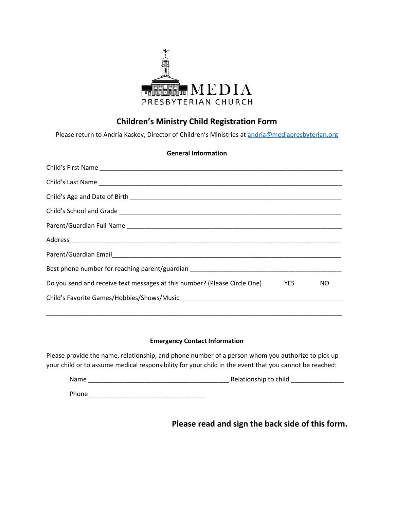

## **Children's Ministry Child Registration Form**

Please return to Andria Kaskey, Director of Children's Ministries at [andria@mediapresbyterian.org](mailto:andria@mediapresbyterian.org)

| <b>General Information</b>                                                    |  |     |
|-------------------------------------------------------------------------------|--|-----|
|                                                                               |  |     |
|                                                                               |  |     |
|                                                                               |  |     |
|                                                                               |  |     |
|                                                                               |  |     |
|                                                                               |  |     |
|                                                                               |  |     |
|                                                                               |  |     |
| Do you send and receive text messages at this number? (Please Circle One) YES |  | NO. |
|                                                                               |  |     |
|                                                                               |  |     |

## **Emergency Contact Information**

\_\_\_\_\_\_\_\_\_\_\_\_\_\_\_\_\_\_\_\_\_\_\_\_\_\_\_\_\_\_\_\_\_\_\_\_\_\_\_\_\_\_\_\_\_\_\_\_\_\_\_\_\_\_\_\_\_\_\_\_\_\_\_\_\_\_\_\_\_\_\_\_\_\_\_\_\_\_\_\_\_\_\_\_

Please provide the name, relationship, and phone number of a person whom you authorize to pick up your child or to assume medical responsibility for your child in the event that you cannot be reached:

| Name  | Relationship to child |
|-------|-----------------------|
| Phone |                       |

**Please read and sign the back side of this form.**